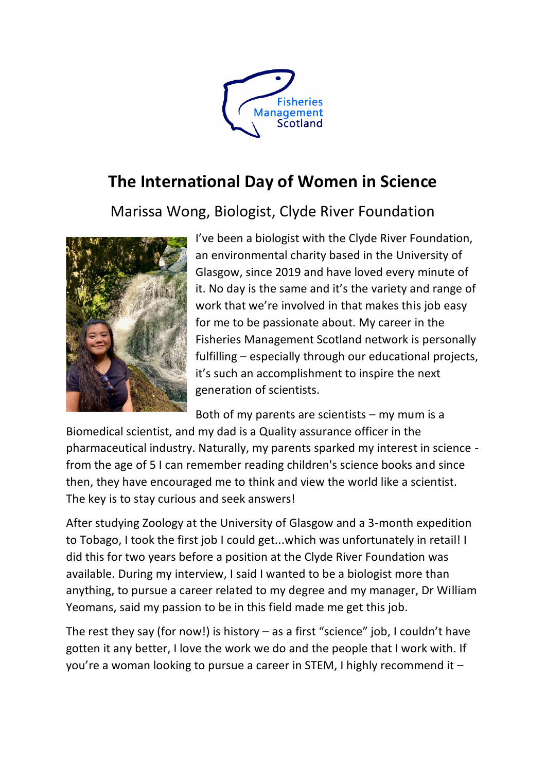

## **The International Day of Women in Science**

Marissa Wong, Biologist, Clyde River Foundation



I've been a biologist with the Clyde River Foundation, an environmental charity based in the University of Glasgow, since 2019 and have loved every minute of it. No day is the same and it's the variety and range of work that we're involved in that makes this job easy for me to be passionate about. My career in the Fisheries Management Scotland network is personally fulfilling – especially through our educational projects, it's such an accomplishment to inspire the next generation of scientists.

Both of my parents are scientists – my mum is a

Biomedical scientist, and my dad is a Quality assurance officer in the pharmaceutical industry. Naturally, my parents sparked my interest in science from the age of 5 I can remember reading children's science books and since then, they have encouraged me to think and view the world like a scientist. The key is to stay curious and seek answers!

After studying Zoology at the University of Glasgow and a 3-month expedition to Tobago, I took the first job I could get...which was unfortunately in retail! I did this for two years before a position at the Clyde River Foundation was available. During my interview, I said I wanted to be a biologist more than anything, to pursue a career related to my degree and my manager, Dr William Yeomans, said my passion to be in this field made me get this job.

The rest they say (for now!) is history  $-$  as a first "science" job, I couldn't have gotten it any better, I love the work we do and the people that I work with. If you're a woman looking to pursue a career in STEM, I highly recommend it –